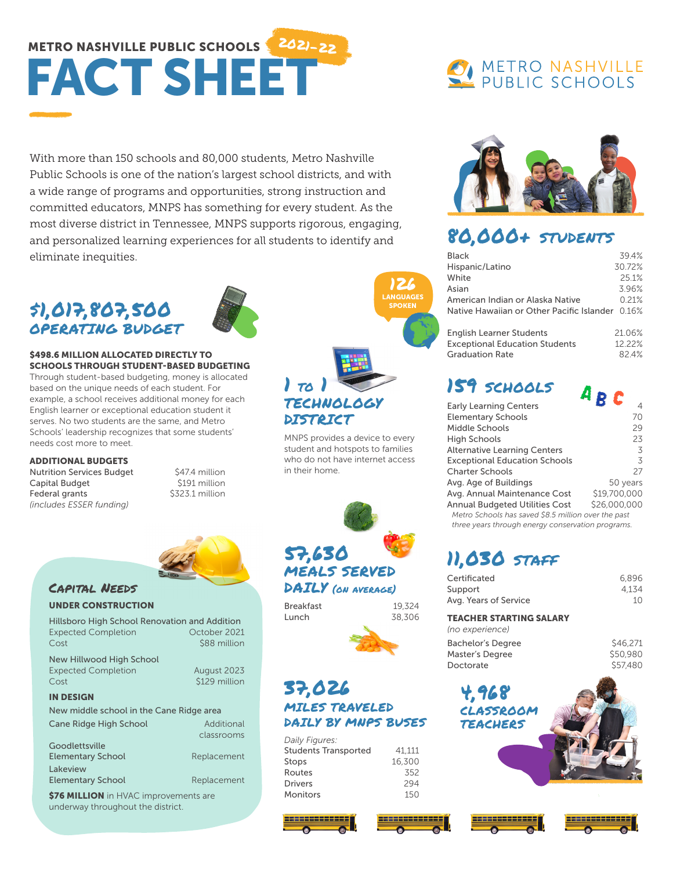# METRO NASHVILLE PUBLIC SCHOOLS 2021-22 FACT SHEET

With more than 150 schools and 80,000 students, Metro Nashville Public Schools is one of the nation's largest school districts, and with a wide range of programs and opportunities, strong instruction and committed educators, MNPS has something for every student. As the most diverse district in Tennessee, MNPS supports rigorous, engaging, and personalized learning experiences for all students to identify and eliminate inequities.

# \$1,017,807,500 OPERATING BUDGET



#### \$498.6 MILLION ALLOCATED DIRECTLY TO SCHOOLS THROUGH STUDENT-BASED BUDGETING

Through student-based budgeting, money is allocated based on the unique needs of each student. For example, a school receives additional money for each English learner or exceptional education student it serves. No two students are the same, and Metro Schools' leadership recognizes that some students' needs cost more to meet.

ADDITIONAL BUDGETS Nutrition Services Budget \$47.4 million Capital Budget \$191 million<br>Federal grants \$323.1 million Federal grants *(includes ESSER funding)*



# Capital Needs

#### UNDER CONSTRUCTION

| <b>Hillsboro High School Renovation and Addition</b><br><b>Expected Completion</b><br>Cost | October 2021<br>\$88 million |
|--------------------------------------------------------------------------------------------|------------------------------|
| New Hillwood High School<br><b>Expected Completion</b><br>Cost                             | August 2023<br>\$129 million |
| <b>IN DESIGN</b>                                                                           |                              |
| New middle school in the Cane Ridge area                                                   |                              |
| Cane Ridge High School                                                                     | Additional<br>classrooms     |
| Goodlettsville<br><b>Elementary School</b>                                                 | Replacement                  |
| <b>Lakeview</b><br><b>Elementary School</b>                                                | Replacement                  |

\$76 MILLION in HVAC improvements are underway throughout the district.



MNPS provides a device to every student and hotspots to families who do not have internet access in their home.



Breakfast 19,324

Lunch 38,306

# 37,026 MILES TRAVELED DAILY BY MNPS BUSES

| Daily Figures:              |        |
|-----------------------------|--------|
| <b>Students Transported</b> | 41.111 |
| Stops                       | 16,300 |
| Routes                      | 352    |
| <b>Drivers</b>              | 294    |
| Monitors                    | 150    |

# **O METRO NASHVILLE**<br>A PUBLIC SCHOOLS



# 80,000+ STUDENTS

| <b>Black</b>                                    | 394%   |
|-------------------------------------------------|--------|
| Hispanic/Latino                                 | 30.72% |
| White                                           | 251%   |
| Asian                                           | 396%   |
| American Indian or Alaska Native                | 0.21%  |
| Native Hawaiian or Other Pacific Islander 0.16% |        |
|                                                 |        |
| English Learner Students                        | 21 NGY |

| <b>English Learner Students</b>       | 21.06% |
|---------------------------------------|--------|
| <b>Exceptional Education Students</b> | 12.22% |
| Graduation Rate                       | 82.4%  |

# 159 SCHOOLS

| <b>Early Learning Centers</b>                       | 4            |
|-----------------------------------------------------|--------------|
| <b>Elementary Schools</b>                           | 70           |
| Middle Schools                                      | 29           |
| <b>High Schools</b>                                 | 23           |
| <b>Alternative Learning Centers</b>                 | 3            |
| <b>Exceptional Education Schools</b>                | 3            |
| <b>Charter Schools</b>                              | 27           |
| Avg. Age of Buildings                               | 50 years     |
| Avg. Annual Maintenance Cost                        | \$19,700,000 |
| <b>Annual Budgeted Utilities Cost</b>               | \$26,000,000 |
| Metro Schools has saved \$8.5 million over the past |              |
|                                                     |              |

*three years through energy conservation programs.*

# 11,030 STAFF

| 6.896 |
|-------|
| 4.134 |
| 10    |
|       |

#### TEACHER STARTING SALARY

| (no experience)   |          |
|-------------------|----------|
| Bachelor's Degree | \$46,271 |
| Master's Degree   | \$50,980 |
| Doctorate         | \$57,480 |

4,968 CLASSROOM TEACHERS